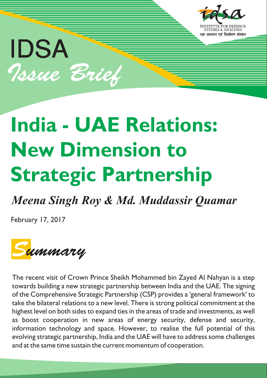

# IDSA Issue Brief

## **India - UAE Relations: New Dimension to Strategic Partnership**

### *Meena Singh Roy & Md. Muddassir Quamar*

February 17, 2017



The recent visit of Crown Prince Sheikh Mohammed bin Zayed Al Nahyan is a step towards building a new strategic partnership between India and the UAE. The signing of the Comprehensive Strategic Partnership (CSP) provides a 'general framework' to take the bilateral relations to a new level. There is strong political commitment at the highest level on both sides to expand ties in the areas of trade and investments, as well as boost cooperation in new areas of energy security, defense and security, information technology and space. However, to realise the full potential of this evolving strategic partnership, India and the UAE will have to address some challenges and at the same time sustain the current momentum of cooperation.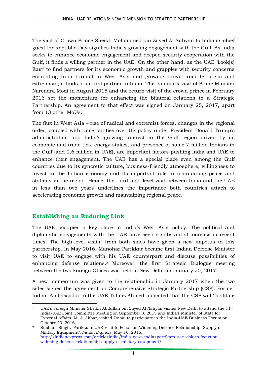The visit of Crown Prince Sheikh Mohammed bin Zayed Al Nahyan to India as chief guest for Republic Day signifies India's growing engagement with the Gulf. As India seeks to enhance economic engagement and deepen security cooperation with the Gulf, it finds a willing partner in the UAE. On the other hand, as the UAE 'Look[s] East' to find partners for its economic growth and grapples with security concerns emanating from turmoil in West Asia and growing threat from terrorism and extremism, it finds a natural partner in India. The landmark visit of Prime Minister Narendra Modi in August 2015 and the return visit of the crown prince in February 2016 set the momentum for enhancing the bilateral relations to a Strategic Partnership. An agreement to that effect was signed on January 25, 2017, apart from 13 other MoUs.

The flux in West Asia – rise of radical and extremist forces, changes in the regional order, coupled with uncertainties over US policy under President Donald Trump's administration and India's growing interest in the Gulf region driven by its economic and trade ties, energy stakes, and presence of some 7 million Indians in the Gulf (and 2.6 million in UAE), are important factors pushing India and UAE to enhance their engagement. The UAE has a special place even among the Gulf countries due to its syncretic culture, business-friendly atmosphere, willingness to invest in the Indian economy and its important role in maintaining peace and stability in the region. Hence, the third high-level visit between India and the UAE in less than two years underlines the importance both countries attach to accelerating economic growth and maintaining regional peace.

#### **Establishing an Enduring Link**

The UAE occupies a key place in India's West Asia policy. The political and diplomatic engagements with the UAE have seen a substantial increase in recent times. The high-level visits<sup>1</sup> from both sides have given a new impetus to this partnership. In May 2016, Manohar Parikkar became first Indian Defense Minister to visit UAE to engage with his UAE counterpart and discuss possibilities of enhancing defense relations.<sup>2</sup> Moreover, the first Strategic Dialogue meeting between the two Foreign Offices was held in New Delhi on January 20, 2017.

A new momentum was given to the relationship in January 2017 when the two sides signed the agreement on Comprehensive Strategic Partnership (CSP). Former Indian Ambassador to the UAE Talmiz Ahmed indicated that the CSP will 'facilitate

<sup>1</sup> <sup>1</sup> UAE's Foreign Minister Sheikh Abdullah bin Zayed Al Nahyan visited New Delhi to attend the 11<sup>th</sup> India-UAE Joint Committee Meeting on September 3, 2015 and India's Minister of State for External Affairs, M. J. Akbar, visited Dubai to participate in the India-UAE Business Forum on October 20, 2016.

<sup>2</sup> Sushant Singh, 'Parikkar's UAE Visit to Focus on Widening Defence Relationship, Supply of Military Equipment', *Indian Express*, May 16, 2016, [http://indianexpress.com/article/india/india-news-india/parrikars-uae-visit-to-focus-on](http://indianexpress.com/article/india/india-news-india/parrikars-uae-visit-to-focus-on-widening-defence-relationship-supply-of-military-equipment/)[widening-defence-relationship-supply-of-military-equipment/](http://indianexpress.com/article/india/india-news-india/parrikars-uae-visit-to-focus-on-widening-defence-relationship-supply-of-military-equipment/)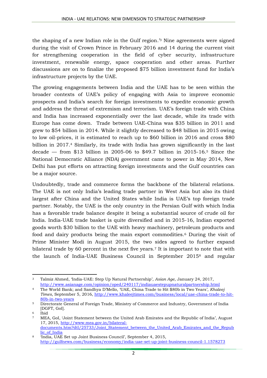the shaping of a new Indian role in the Gulf region.' <sup>3</sup> Nine agreements were signed during the visit of Crown Prince in February 2016 and 14 during the current visit for strengthening cooperation in the field of cyber security, infrastructure investment, renewable energy, space cooperation and other areas. Further discussions are on to finalize the proposed \$75 billion investment fund for India's infrastructure projects by the UAE.

The growing engagements between India and the UAE has to be seen within the broader contexts of UAE's policy of engaging with Asia to improve economic prospects and India's search for foreign investments to expedite economic growth and address the threat of extremism and terrorism. UAE's foreign trade with China and India has increased exponentially over the last decade, while its trade with Europe has come down. Trade between UAE-China was \$35 billion in 2011 and grew to \$54 billion in 2014. While it slightly decreased to \$48 billion in 2015 owing to low oil-prices, it is estimated to reach up to \$60 billion in 2016 and cross \$80 billion in 2017.<sup>4</sup> Similarly, its trade with India has grown significantly in the last decade — from \$13 billion in 2005-06 to \$49.7 billion in 2015-16.<sup>5</sup> Since the National Democratic Alliance (NDA) government came to power in May 2014, New Delhi has put efforts on attracting foreign investments and the Gulf countries can be a major source.

Undoubtedly, trade and commerce forms the backbone of the bilateral relations. The UAE is not only India's leading trade partner in West Asia but also its third largest after China and the United States while India is UAE's top foreign trade partner. Notably, the UAE is the only country in the Persian Gulf with which India has a favorable trade balance despite it being a substantial source of crude oil for India. India-UAE trade basket is quite diversified and in 2015-16, Indian exported goods worth \$30 billion to the UAE with heavy machinery, petroleum products and food and dairy products being the main export commodities.<sup>6</sup> During the visit of Prime Minister Modi in August 2015, the two sides agreed to further expand bilateral trade by 60 percent in the next five years.<sup>7</sup> It is important to note that with the launch of India-UAE Business Council in September 2015<sup>8</sup> and regular

**<sup>.</sup>** <sup>3</sup> Talmiz Ahmed, 'India-UAE: Step Up Natural Partnership', *Asian Age*, January 24, 2017, <http://www.asianage.com/opinion/oped/240117/indiauaestepupnaturalpartnership.html>

<sup>4</sup> The World Bank; and Sandhya D'Mello, 'UAE, China Trade to Hit \$80b in Two Years', *Khaleej Times*, September 5, 2016, [http://www.khaleejtimes.com/business/local/uae-china-trade-to-hit-](http://www.khaleejtimes.com/business/local/uae-china-trade-to-hit-80b-in-two-years)[80b-in-two-years](http://www.khaleejtimes.com/business/local/uae-china-trade-to-hit-80b-in-two-years)

<sup>5</sup> Directorate General of Foreign Trade, Ministry of Commerce and Industry, Government of India [DGFT, GoI].

<sup>6</sup> Ibid

<sup>7</sup> MEA, GoI, 'Joint Statement between the United Arab Emirates and the Republic of India', August 17, 2015, [http://www.mea.gov.in/bilateral](http://www.mea.gov.in/bilateral-documents.htm?dtl/25733/Joint_Statement_between_the_United_Arab_Emirates_and_the_Republic_of_India)[documents.htm?dtl/25733/Joint\\_Statement\\_between\\_the\\_United\\_Arab\\_Emirates\\_and\\_the\\_Repub](http://www.mea.gov.in/bilateral-documents.htm?dtl/25733/Joint_Statement_between_the_United_Arab_Emirates_and_the_Republic_of_India) [lic\\_of\\_India](http://www.mea.gov.in/bilateral-documents.htm?dtl/25733/Joint_Statement_between_the_United_Arab_Emirates_and_the_Republic_of_India)

<sup>8</sup> 'India, UAE Set up Joint Business Council', September 4, 2015, <http://gulfnews.com/business/economy/india-uae-set-up-joint-business-council-1.1578273>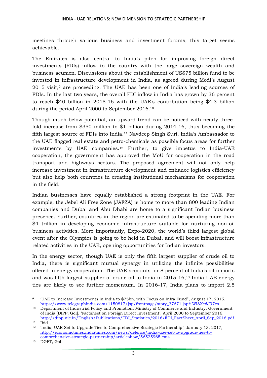meetings through various business and investment forums, this target seems achievable.

The Emirates is also central to India's pitch for improving foreign direct investments (FDIs) inflow to the country with the large sovereign wealth and business acumen. Discussions about the establishment of US\$75 billion fund to be invested in infrastructure development in India, as agreed during Modi's August 2015 visit, <sup>9</sup> are proceeding. The UAE has been one of India's leading sources of FDIs. In the last two years, the overall FDI inflow in India has grown by 36 percent to reach \$40 billion in 2015-16 with the UAE's contribution being \$4.3 billion during the period April 2000 to September 2016.<sup>10</sup>

Though much below potential, an upward trend can be noticed with nearly threefold increase from \$350 million to \$1 billion during 2014-16, thus becoming the fifth largest source of FDIs into India.<sup>11</sup> Navdeep Singh Suri, India's Ambassador to the UAE flagged real estate and petro-chemicals as possible focus areas for further investments by UAE companies.<sup>12</sup> Further, to give impetus to India-UAE cooperation, the government has approved the MoU for cooperation in the road transport and highways sectors. The proposed agreement will not only help increase investment in infrastructure development and enhance logistics efficiency but also help both countries in creating institutional mechanisms for cooperation in the field.

Indian businesses have equally established a strong footprint in the UAE. For example, the Jebel Ali Free Zone (JAFZA) is home to more than 800 leading Indian companies and Dubai and Abu Dhabi are home to a significant Indian business presence. Further, countries in the region are estimated to be spending more than \$4 trillion in developing economic infrastructure suitable for nurturing non-oil business activities. More importantly, Expo-2020, the world's third largest global event after the Olympics is going to be held in Dubai, and will boost infrastructure related activities in the UAE, opening opportunities for Indian investors.

In the energy sector, though UAE is only the fifth largest supplier of crude oil to India, there is significant mutual synergy in utilizing the infinite possibilities offered in energy cooperation. The UAE accounts for 8 percent of India's oil imports and was fifth largest supplier of crude oil to India in 2015-16, <sup>13</sup> India-UAE energy ties are likely to see further momentum. In 2016-17, India plans to import 2.5

**<sup>.</sup>** <sup>9</sup> 'UAE to Increase Investments in India to \$75bn, with Focus on Infra Fund", August 17, 2015, [https://www.telegraphindia.com/1150817/jsp/frontpage/story\\_37671.jsp#.WI8XedJ97cs](https://www.telegraphindia.com/1150817/jsp/frontpage/story_37671.jsp#.WI8XedJ97cs)

<sup>&</sup>lt;sup>10</sup> Department of Industrial Policy and Promotion, Ministry of Commerce and Industry, Government of India [DIPP, GoI], 'Factsheet on Foreign Direct Investment', April 2000 to September 2016, [http://dipp.nic.in/English/Publications/FDI\\_Statistics/2016/FDI\\_FactSheet\\_April\\_Sep\\_2016.pdf](http://dipp.nic.in/English/Publications/FDI_Statistics/2016/FDI_FactSheet_April_Sep_2016.pdf)  $\frac{11}{12}$   $\frac{\overline{\text{Ibid}}}{\text{Indi}}$ 

<sup>12</sup> 'India, UAE Set to Upgrade Ties to Comprehensive Strategic Partnership', January 13, 2017, [http://economictimes.indiatimes.com/news/defence/india-uae-set-to-upgrade-ties-to](http://economictimes.indiatimes.com/news/defence/india-uae-set-to-upgrade-ties-to-comprehensive-strategic-partnership/articleshow/56525965.cms)[comprehensive-strategic-partnership/articleshow/56525965.cms](http://economictimes.indiatimes.com/news/defence/india-uae-set-to-upgrade-ties-to-comprehensive-strategic-partnership/articleshow/56525965.cms)

<sup>13</sup> DGFT, GoI.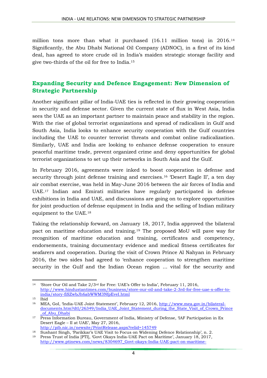million tons more than what it purchased (16.11 million tons) in 2016.<sup>14</sup> Significantly, the Abu Dhabi National Oil Company (ADNOC), in a first of its kind deal, has agreed to store crude oil in India's maiden strategic storage facility and give two-thirds of the oil for free to India.<sup>15</sup>

#### **Expanding Security and Defence Engagement: New Dimension of Strategic Partnership**

Another significant pillar of India-UAE ties is reflected in their growing cooperation in security and defense sector. Given the current state of flux in West Asia, India sees the UAE as an important partner to maintain peace and stability in the region. With the rise of global terrorist organizations and spread of radicalism in Gulf and South Asia, India looks to enhance security cooperation with the Gulf countries including the UAE to counter terrorist threats and combat online radicalization. Similarly, UAE and India are looking to enhance defense cooperation to ensure peaceful maritime trade, prevent organized crime and deny opportunities for global terrorist organizations to set up their networks in South Asia and the Gulf.

In February 2016, agreements were inked to boost cooperation in defense and security through joint defense training and exercises.<sup>16</sup> 'Desert Eagle II', a ten day air combat exercise, was held in May-June 2016 between the air forces of India and UAE.<sup>17</sup> Indian and Emirati militaries have regularly participated in defense exhibitions in India and UAE, and discussions are going on to explore opportunities for joint production of defense equipment in India and the selling of Indian military equipment to the UAE.<sup>18</sup>

Taking the relationship forward, on January 18, 2017, India approved the bilateral pact on maritime education and training.<sup>19</sup> The proposed MoU will pave way for recognition of maritime education and training, certificates and competency, endorsements, training documentary evidence and medical fitness certificates for seafarers and cooperation. During the visit of Crown Prince Al Nahyan in February 2016, the two sides had agreed to 'enhance cooperation to strengthen maritime security in the Gulf and the Indian Ocean region ... vital for the security and

**<sup>.</sup>** <sup>14</sup> 'Store Our Oil and Take 2/3rd for Free: UAE's Offer to India', February 11, 2016, [http://www.hindustantimes.com/business/store-our-oil-and-take-2-3rd-for-free-uae-s-offer-to](http://www.hindustantimes.com/business/store-our-oil-and-take-2-3rd-for-free-uae-s-offer-to-india/story-fiSZwbJh6abWWM3NfpEveI.html)[india/story-fiSZwbJh6abWWM3NfpEveI.html](http://www.hindustantimes.com/business/store-our-oil-and-take-2-3rd-for-free-uae-s-offer-to-india/story-fiSZwbJh6abWWM3NfpEveI.html)

<sup>15</sup> Ibid

<sup>16</sup> MEA, GoI, 'India-UAE Joint Statement', February 12, 2016, [http://www.mea.gov.in/bilateral](http://www.mea.gov.in/bilateral-documents.htm?dtl/26349/India_UAE_Joint_Statement_during_the_State_Visit_of_Crown_Prince_of_Abu_Dhabi)[documents.htm?dtl/26349/India\\_UAE\\_Joint\\_Statement\\_during\\_the\\_State\\_Visit\\_of\\_Crown\\_Prince](http://www.mea.gov.in/bilateral-documents.htm?dtl/26349/India_UAE_Joint_Statement_during_the_State_Visit_of_Crown_Prince_of_Abu_Dhabi) [\\_of\\_Abu\\_Dhabi](http://www.mea.gov.in/bilateral-documents.htm?dtl/26349/India_UAE_Joint_Statement_during_the_State_Visit_of_Crown_Prince_of_Abu_Dhabi)

<sup>17</sup> Press Information Bureau, Government of India, Ministry of Defense, 'IAF Participation in Ex Desert Eagle – II at UAE', May 27, 2016, <http://pib.nic.in/newsite/PrintRelease.aspx?relid=145749>

<sup>18</sup> Sushant Singh, 'Parikkar's UAE Visit to Focus on Widening Defence Relationship', n. 2.

<sup>19</sup> Press Trust of India [PTI], 'Govt Okays India-UAE Pact on Maritime', January 18, 2017, [http://www.ptinews.com/news/8304697\\_Govt-okays-India-UAE-pact-on-maritime-](http://www.ptinews.com/news/8304697_Govt-okays-India-UAE-pact-on-maritime-)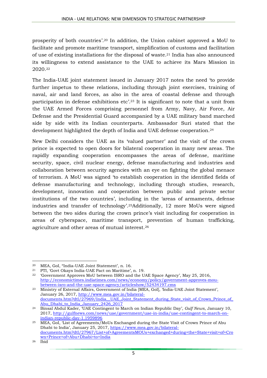prosperity of both countries'. <sup>20</sup> In addition, the Union cabinet approved a MoU to facilitate and promote maritime transport, simplification of customs and facilitation of use of existing installations for the disposal of waste.<sup>21</sup> India has also announced its willingness to extend assistance to the UAE to achieve its Mars Mission in 2020. 22

The India-UAE joint statement issued in January 2017 notes the need 'to provide further impetus to these relations, including through joint exercises, training of naval, air and land forces, as also in the area of coastal defense and through participation in defense exhibitions etc'. <sup>23</sup> It is significant to note that a unit from the UAE Armed Forces comprising personnel from Army, Navy, Air Force, Air Defense and the Presidential Guard accompanied by a UAE military band marched side by side with its Indian counterparts. Ambassador Suri stated that the development highlighted the depth of India and UAE defense cooperation.<sup>24</sup>

New Delhi considers the UAE as its 'valued partner' and the visit of the crown prince is expected to open doors for bilateral cooperation in many new areas. The rapidly expanding cooperation encompasses the areas of defense, maritime security, space, civil nuclear energy, defense manufacturing and industries and collaboration between security agencies with an eye on fighting the global menace of terrorism. A MoU was signed 'to establish cooperation in the identified fields of defense manufacturing and technology, including through studies, research, development, innovation and cooperation between public and private sector institutions of the two countries', including in the 'areas of armaments, defense industries and transfer of technology'. <sup>25</sup>Additionally, 12 more MoUs were signed between the two sides during the crown prince's visit including for cooperation in areas of cyberspace, maritime transport, prevention of human trafficking, agriculture and other areas of mutual interest.<sup>26</sup>

**<sup>.</sup>** <sup>20</sup> MEA, GoI, "India-UAE Joint Statement', n. 16.

<sup>21</sup> PTI, 'Govt Okays India-UAE Pact on Maritime', n. 19.

<sup>22</sup> 'Government Approves MoU between ISRO and the UAE Space Agency', May 25, 2016, [http://economictimes.indiatimes.com/news/economy/policy/government-approves-mou](http://economictimes.indiatimes.com/news/economy/policy/government-approves-mou-between-isro-and-the-uae-space-agency/articleshow/52434197.cms)[between-isro-and-the-uae-space-agency/articleshow/52434197.cms](http://economictimes.indiatimes.com/news/economy/policy/government-approves-mou-between-isro-and-the-uae-space-agency/articleshow/52434197.cms)

<sup>23</sup> Ministry of External Affairs, Government of India [MEA, GoI], 'India-UAE Joint Statement', January 26, 2017, [http://www.mea.gov.in/bilateral](http://www.mea.gov.in/bilateral-documents.htm?dtl/27969/India__UAE_Joint_Statement_during_State_visit_of_Crown_Prince_of_Abu_Dhabi_to_India_January_2426_2017)documents.htm?dtl/27969/India\_UAE\_Joint\_Statement\_during\_State\_visit\_of\_Crown\_Prince\_of\_ [Abu\\_Dhabi\\_to\\_India\\_January\\_2426\\_2017](http://www.mea.gov.in/bilateral-documents.htm?dtl/27969/India__UAE_Joint_Statement_during_State_visit_of_Crown_Prince_of_Abu_Dhabi_to_India_January_2426_2017)

<sup>24</sup> Binsal Abdul Kader, 'UAE Contingent to March on Indian Republic Day', *Gulf News*, January 10, 2017, [http://gulfnews.com/news/uae/government/uae-in-india/uae-contingent-to-march-on](http://gulfnews.com/news/uae/government/uae-in-india/uae-contingent-to-march-on-indian-republic-day-1.1959896)[indian-republic-day-1.1959896](http://gulfnews.com/news/uae/government/uae-in-india/uae-contingent-to-march-on-indian-republic-day-1.1959896)

<sup>25</sup> MEA, GoI, 'List of Agreements/MoUs Exchanged during the State Visit of Crown Prince of Abu Dhabi to India', January 25, 2017, [https://www.mea.gov.in/bilateral](https://www.mea.gov.in/bilateral-documents.htm?dtl/27967/List+of+AgreementsMOUs+exchanged+during+the+State+visit+of+Crown+Prince+of+Abu+Dhabi+to+India)[documents.htm?dtl/27967/List+of+AgreementsMOUs+exchanged+during+the+State+visit+of+Cro](https://www.mea.gov.in/bilateral-documents.htm?dtl/27967/List+of+AgreementsMOUs+exchanged+during+the+State+visit+of+Crown+Prince+of+Abu+Dhabi+to+India) [wn+Prince+of+Abu+Dhabi+to+India](https://www.mea.gov.in/bilateral-documents.htm?dtl/27967/List+of+AgreementsMOUs+exchanged+during+the+State+visit+of+Crown+Prince+of+Abu+Dhabi+to+India)

 $26$  Ibid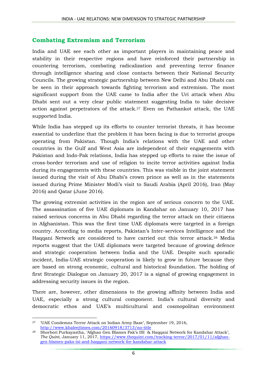#### **Combating Extremism and Terrorism**

India and UAE see each other as important players in maintaining peace and stability in their respective regions and have reinforced their partnership in countering terrorism, combating radicalization and preventing terror finance through intelligence sharing and close contacts between their National Security Councils. The growing strategic partnership between New Delhi and Abu Dhabi can be seen in their approach towards fighting terrorism and extremism. The most significant support from the UAE came to India after the Uri attack when Abu Dhabi sent out a very clear public statement suggesting India to take decisive action against perpetrators of the attack.<sup>27</sup> Even on Pathankot attack, the UAE supported India.

While India has stepped up its efforts to counter terrorist threats, it has become essential to underline that the problem it has been facing is due to terrorist groups operating from Pakistan. Though India's relations with the UAE and other countries in the Gulf and West Asia are independent of their engagements with Pakistan and Indo-Pak relations, India has stepped up efforts to raise the issue of cross-border terrorism and use of religion to incite terror activities against India during its engagements with these countries. This was visible in the joint statement issued during the visit of Abu Dhabi's crown prince as well as in the statements issued during Prime Minister Modi's visit to Saudi Arabia (April 2016), Iran (May 2016) and Qatar (June 2016).

The growing extremist activities in the region are of serious concern to the UAE. The assassination of five UAE diplomats in Kandahar on January 10, 2017 has raised serious concerns in Abu Dhabi regarding the terror attack on their citizens in Afghanistan. This was the first time UAE diplomats were targeted in a foreign country. According to media reports, Pakistan's Inter-services Intelligence and the Haqqani Network are considered to have carried out this terror attack.<sup>28</sup> Media reports suggest that the UAE diplomats were targeted because of growing defence and strategic cooperation between India and the UAE. Despite such sporadic incident, India-UAE strategic cooperation is likely to grow in future because they are based on strong economic, cultural and historical foundation. The holding of first Strategic Dialogue on January 20, 2017 is a signal of growing engagement in addressing security issues in the region.

There are, however, other dimensions to the growing affinity between India and UAE, especially a strong cultural component. India's cultural diversity and democratic ethos and UAE's multicultural and cosmopolitan environment

**<sup>.</sup>** <sup>27</sup> 'UAE Condemns Terror Attack on Indian Army Base', September 19, 2016, <http://www.khaleejtimes.com/20160918/3713/no-title>

<sup>28</sup> Shorbori Purkayastha, 'Afghan Gen Blames Pak's ISI & Haqqani Network for Kandahar Attack', *The Quint*, January 11, 2017, [https://www.thequint.com/tracking-terror/2017/01/11/afghan](https://www.thequint.com/tracking-terror/2017/01/11/afghan-gen-blames-paks-isi-and-haqqani-network-for-kandahar-attack)[gen-blames-paks-isi-and-haqqani-network-for-kandahar-attack](https://www.thequint.com/tracking-terror/2017/01/11/afghan-gen-blames-paks-isi-and-haqqani-network-for-kandahar-attack)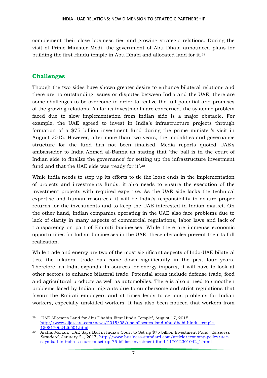complement their close business ties and growing strategic relations. During the visit of Prime Minister Modi, the government of Abu Dhabi announced plans for building the first Hindu temple in Abu Dhabi and allocated land for it.<sup>29</sup>

#### **Challenges**

Though the two sides have shown greater desire to enhance bilateral relations and there are no outstanding issues or disputes between India and the UAE, there are some challenges to be overcome in order to realize the full potential and promises of the growing relations. As far as investments are concerned, the systemic problem faced due to slow implementation from Indian side is a major obstacle. For example, the UAE agreed to invest in India's infrastructure projects through formation of a \$75 billion investment fund during the prime minister's visit in August 2015. However, after more than two years, the modalities and governance structure for the fund has not been finalized. Media reports quoted UAE's ambassador to India Ahmed al-Banna as stating that 'the ball is in the court of Indian side to finalize the governance' for setting up the infrastructure investment fund and that the UAE side was 'ready for it'.<sup>30</sup>

While India needs to step up its efforts to tie the loose ends in the implementation of projects and investments funds, it also needs to ensure the execution of the investment projects with required expertise. As the UAE side lacks the technical expertise and human resources, it will be India's responsibility to ensure proper returns for the investments and to keep the UAE interested in Indian market. On the other hand, Indian companies operating in the UAE also face problems due to lack of clarity in many aspects of commercial regulations, labor laws and lack of transparency on part of Emirati businesses. While there are immense economic opportunities for Indian businesses in the UAE, these obstacles prevent their ts full realization.

While trade and energy are two of the most significant aspects of Indo-UAE bilateral ties, the bilateral trade has come down significantly in the past four years. Therefore, as India expands its sources for energy imports, it will have to look at other sectors to enhance bilateral trade. Potential areas include defense trade, food and agricultural products as well as automobiles. There is also a need to smoothen problems faced by Indian migrants due to cumbersome and strict regulations that favour the Emirati employers and at times leads to serious problems for Indian workers, especially unskilled workers. It has also been noticed that workers from

**<sup>.</sup>** <sup>29</sup> 'UAE Allocates Land for Abu Dhabi's First Hindu Temple', August 17, 2015, [http://www.aljazeera.com/news/2015/08/uae-allocates-land-abu-dhabi-hindu-temple-](http://www.aljazeera.com/news/2015/08/uae-allocates-land-abu-dhabi-hindu-temple-150817062426501.html)[150817062426501.html](http://www.aljazeera.com/news/2015/08/uae-allocates-land-abu-dhabi-hindu-temple-150817062426501.html)

<sup>30</sup> Archis Mohan, 'UAE Says Ball in India's Court to Set up \$75 billion Investment Fund', *Business Standard*, January 24, 2017, [http://www.business-standard.com/article/economy-policy/uae](http://www.business-standard.com/article/economy-policy/uae-says-ball-in-india-s-court-to-set-up-75-billion-investment-fund-117012301042_1.html)[says-ball-in-india-s-court-to-set-up-75-billion-investment-fund-117012301042\\_1.html](http://www.business-standard.com/article/economy-policy/uae-says-ball-in-india-s-court-to-set-up-75-billion-investment-fund-117012301042_1.html)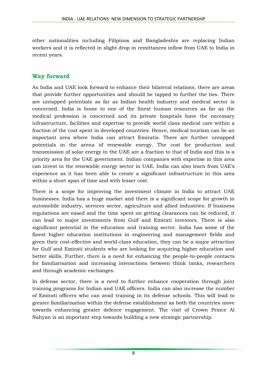other nationalities including Filipinos and Bangladeshis are replacing Indian workers and it is reflected in slight drop in remittances inflow from UAE to India in recent years.

#### **Way forward**

As India and UAE look forward to enhance their bilateral relations, there are areas that provide further opportunities and should be tapped to further the ties. There are untapped potentials as far as Indian health industry and medical sector is concerned. India is home to one of the finest human resources as far as the medical profession is concerned and its private hospitals have the necessary infrastructure, facilities and expertise to provide world class medical care within a fraction of the cost spent in developed countries. Hence, medical tourism can be an important area where India can attract Emiratis. There are further untapped potentials in the arena of renewable energy. The cost for production and transmission of solar energy in the UAE are a fraction to that of India and this is a priority area for the UAE government. Indian companies with expertise in this area can invest in the renewable energy sector in UAE. India can also learn from UAE's experience as it has been able to create a significant infrastructure in this area within a short span of time and with lesser cost.

There is a scope for improving the investment climate in India to attract UAE businesses. India has a huge market and there is a significant scope for growth in automobile industry, services sector, agriculture and allied industries. If business regulations are eased and the time spent on getting clearances can be reduced, it can lead to major investments from Gulf and Emirati investors. There is also significant potential in the education and training sector. India has some of the finest higher education institutions in engineering and management fields and given their cost-effective and world-class education, they can be a major attraction for Gulf and Emirati students who are looking for acquiring higher education and better skills. Further, there is a need for enhancing the people-to-people contacts for familiarisation and increasing interactions between think tanks, researchers and through academic exchanges.

In defense sector, there is a need to further enhance cooperation through joint training programs for Indian and UAE officers. India can also increase the number of Emirati officers who can avail training in its defense schools. This will lead to greater familiarisation within the defense establishment as both the countries move towards enhancing greater defence engagement. The visit of Crown Prince Al Nahyan is an important step towards building a new strategic partnership.